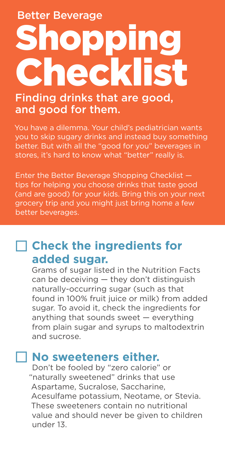Better Beverage

# hopping Checklist

#### Finding drinks that are good, and good for them.

You have a dilemma. Your child's pediatrician wants you to skip sugary drinks and instead buy something better. But with all the "good for you" beverages in stores, it's hard to know what "better" really is.

Enter the Better Beverage Shopping Checklist tips for helping you choose drinks that taste good (and are good) for your kids. Bring this on your next grocery trip and you might just bring home a few better beverages.

## **Check the ingredients for added sugar.**

Grams of sugar listed in the Nutrition Facts can be deceiving — they don't distinguish naturally-occurring sugar (such as that found in 100% fruit juice or milk) from added sugar. To avoid it, check the ingredients for anything that sounds sweet — everything from plain sugar and syrups to maltodextrin and sucrose.

#### **No sweeteners either.**

Don't be fooled by "zero calorie" or "naturally sweetened" drinks that use Aspartame, Sucralose, Saccharine, Acesulfame potassium, Neotame, or Stevia. These sweeteners contain no nutritional value and should never be given to children under 13.